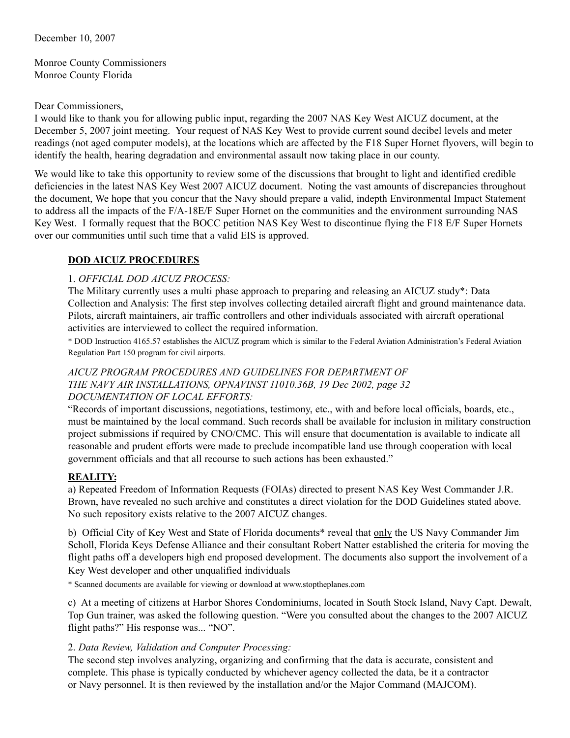December 10, 2007

Monroe County Commissioners Monroe County Florida

#### Dear Commissioners,

I would like to thank you for allowing public input, regarding the 2007 NAS Key West AICUZ document, at the December 5, 2007 joint meeting. Your request of NAS Key West to provide current sound decibel levels and meter readings (not aged computer models), at the locations which are affected by the F18 Super Hornet flyovers, will begin to identify the health, hearing degradation and environmental assault now taking place in our county.

We would like to take this opportunity to review some of the discussions that brought to light and identified credible deficiencies in the latest NAS Key West 2007 AICUZ document. Noting the vast amounts of discrepancies throughout the document, We hope that you concur that the Navy should prepare a valid, indepth Environmental Impact Statement to address all the impacts of the F/A-18E/F Super Hornet on the communities and the environment surrounding NAS Key West. I formally request that the BOCC petition NAS Key West to discontinue flying the F18 E/F Super Hornets over our communities until such time that a valid EIS is approved.

## **DOD AICUZ PROCEDURES**

## 1. *OFFICIAL DOD AICUZ PROCESS:*

The Military currently uses a multi phase approach to preparing and releasing an AICUZ study\*: Data Collection and Analysis: The first step involves collecting detailed aircraft flight and ground maintenance data. Pilots, aircraft maintainers, air traffic controllers and other individuals associated with aircraft operational activities are interviewed to collect the required information.

\* DOD Instruction 4165.57 establishes the AICUZ program which is similar to the Federal Aviation Administration's Federal Aviation Regulation Part 150 program for civil airports.

## *AICUZ PROGRAM PROCEDURES AND GUIDELINES FOR DEPARTMENT OF THE NAVY AIR INSTALLATIONS, OPNAVINST 11010.36B, 19 Dec 2002, page 32 DOCUMENTATION OF LOCAL EFFORTS:*

"Records of important discussions, negotiations, testimony, etc., with and before local officials, boards, etc., must be maintained by the local command. Such records shall be available for inclusion in military construction project submissions if required by CNO/CMC. This will ensure that documentation is available to indicate all reasonable and prudent efforts were made to preclude incompatible land use through cooperation with local government officials and that all recourse to such actions has been exhausted."

## **REALITY:**

a) Repeated Freedom of Information Requests (FOIAs) directed to present NAS Key West Commander J.R. Brown, have revealed no such archive and constitutes a direct violation for the DOD Guidelines stated above. No such repository exists relative to the 2007 AICUZ changes.

b) Official City of Key West and State of Florida documents\* reveal that only the US Navy Commander Jim Scholl, Florida Keys Defense Alliance and their consultant Robert Natter established the criteria for moving the flight paths off a developers high end proposed development. The documents also support the involvement of a Key West developer and other unqualified individuals

\* Scanned documents are available for viewing or download at www.stoptheplanes.com

c) At a meeting of citizens at Harbor Shores Condominiums, located in South Stock Island, Navy Capt. Dewalt, Top Gun trainer, was asked the following question. "Were you consulted about the changes to the 2007 AICUZ flight paths?" His response was... "NO".

## 2. *Data Review, Validation and Computer Processing:*

The second step involves analyzing, organizing and confirming that the data is accurate, consistent and complete. This phase is typically conducted by whichever agency collected the data, be it a contractor or Navy personnel. It is then reviewed by the installation and/or the Major Command (MAJCOM).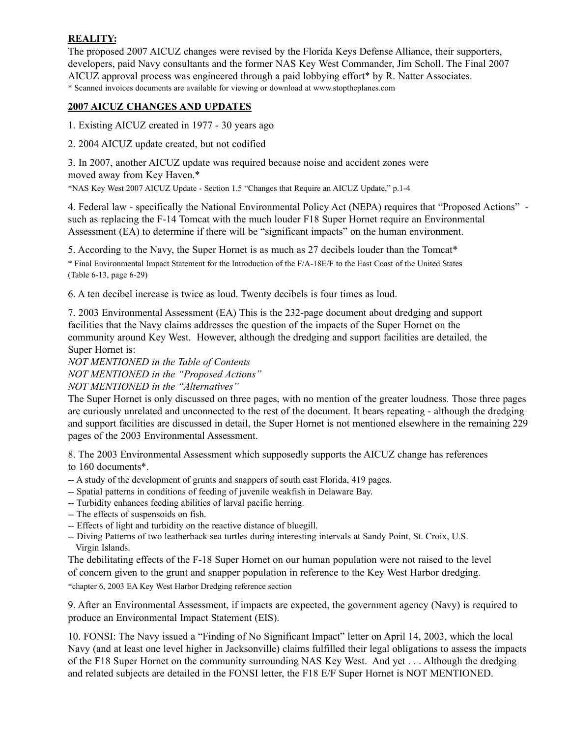# **REALITY:**

The proposed 2007 AICUZ changes were revised by the Florida Keys Defense Alliance, their supporters, developers, paid Navy consultants and the former NAS Key West Commander, Jim Scholl. The Final 2007 AICUZ approval process was engineered through a paid lobbying effort\* by R. Natter Associates. \* Scanned invoices documents are available for viewing or download at www.stoptheplanes.com

## **2007 AICUZ CHANGES AND UPDATES**

1. Existing AICUZ created in 1977 - 30 years ago

2. 2004 AICUZ update created, but not codified

3. In 2007, another AICUZ update was required because noise and accident zones were moved away from Key Haven.\*

\*NAS Key West 2007 AICUZ Update - Section 1.5 "Changes that Require an AICUZ Update," p.1-4

4. Federal law - specifically the National Environmental Policy Act (NEPA) requires that "Proposed Actions" such as replacing the F-14 Tomcat with the much louder F18 Super Hornet require an Environmental Assessment (EA) to determine if there will be "significant impacts" on the human environment.

5. According to the Navy, the Super Hornet is as much as 27 decibels louder than the Tomcat\* \* Final Environmental Impact Statement for the Introduction of the F/A-18E/F to the East Coast of the United States (Table 6-13, page 6-29)

6. A ten decibel increase is twice as loud. Twenty decibels is four times as loud.

7. 2003 Environmental Assessment (EA) This is the 232-page document about dredging and support facilities that the Navy claims addresses the question of the impacts of the Super Hornet on the community around Key West. However, although the dredging and support facilities are detailed, the Super Hornet is:

*NOT MENTIONED in the Table of Contents NOT MENTIONED in the "Proposed Actions"*

*NOT MENTIONED in the "Alternatives"*

The Super Hornet is only discussed on three pages, with no mention of the greater loudness. Those three pages are curiously unrelated and unconnected to the rest of the document. It bears repeating - although the dredging and support facilities are discussed in detail, the Super Hornet is not mentioned elsewhere in the remaining 229 pages of the 2003 Environmental Assessment.

8. The 2003 Environmental Assessment which supposedly supports the AICUZ change has references to 160 documents\*.

-- A study of the development of grunts and snappers of south east Florida, 419 pages.

- -- Spatial patterns in conditions of feeding of juvenile weakfish in Delaware Bay.
- -- Turbidity enhances feeding abilities of larval pacific herring.
- -- The effects of suspensoids on fish.
- -- Effects of light and turbidity on the reactive distance of bluegill.
- -- Diving Patterns of two leatherback sea turtles during interesting intervals at Sandy Point, St. Croix, U.S. Virgin Islands.

The debilitating effects of the F-18 Super Hornet on our human population were not raised to the level of concern given to the grunt and snapper population in reference to the Key West Harbor dredging. \*chapter 6, 2003 EA Key West Harbor Dredging reference section

9. After an Environmental Assessment, if impacts are expected, the government agency (Navy) is required to produce an Environmental Impact Statement (EIS).

10. FONSI: The Navy issued a "Finding of No Significant Impact" letter on April 14, 2003, which the local Navy (and at least one level higher in Jacksonville) claims fulfilled their legal obligations to assess the impacts of the F18 Super Hornet on the community surrounding NAS Key West. And yet . . . Although the dredging and related subjects are detailed in the FONSI letter, the F18 E/F Super Hornet is NOT MENTIONED.